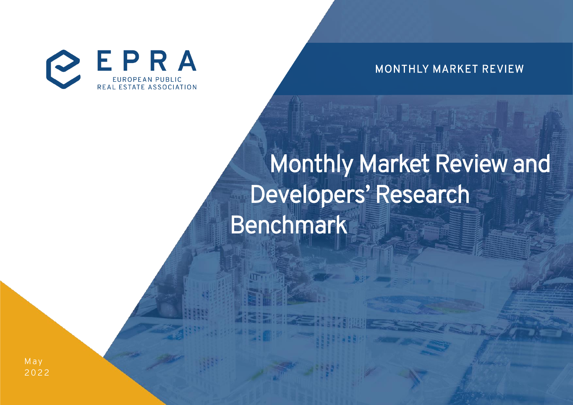

MONTHLY MARKET REVIEW

# Monthly Market Review and Developers' Research Benchmark

M ay 2 0 22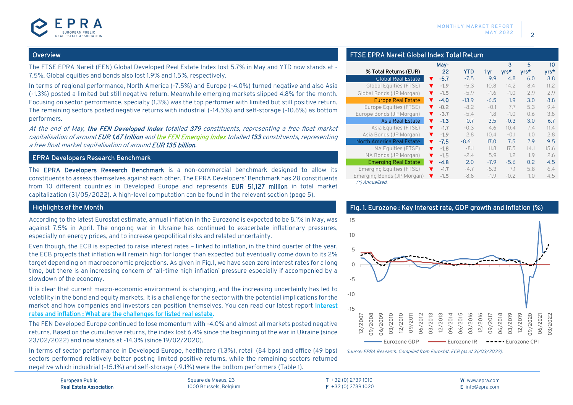#### **Overview**

The FTSE EPRA Nareit (FEN) Global Developed Real Estate Index lost 5.7% in May and YTD now stands at - 7.5%. Global equities and bonds also lost 1.9% and 1.5%, respectively.

In terms of regional performance, North America (-7.5%) and Europe (-4.0%) turned negative and also Asia (-1.3%) posted a limited but still negative return. Meanwhile emerging markets slipped 4.8% for the month. Focusing on sector performance, specialty (1.3%) was the top performer with limited but still positive return. The remaining sectors posted negative returns with industrial (-14.5%) and self-storage (-10.6%) as bottom performers.

At the end of May, the FEN Developed Index totalled 379 constituents, representing a free float market capitalisation of around EUR 1.67 trillion and the FEN Emerging Index totalled 133 constituents, representing a free float market capitalisation of around EUR 135 billion.

#### EPRA Developers Research Benchmark

The EPRA Developers Research Benchmark is a non-commercial benchmark designed to allow its constituents to assess themselves against each other. The EPRA Developers' Benchmark has 28 constituents from 10 different countries in Developed Europe and represents EUR 51,127 million in total market capitalization (31/05/2022). A high-level computation can be found in the relevant section (page 5).

#### Highlights of the Month

According to the latest Eurostat estimate, annual inflation in the Eurozone is expected to be 8.1% in May, was against 7.5% in April. The ongoing war in Ukraine has continued to exacerbate inflationary pressures, especially on energy prices, and to increase geopolitical risks and related uncertainty.

Even though, the ECB is expected to raise interest rates – linked to inflation, in the third quarter of the year, the ECB projects that inflation will remain high for longer than expected but eventually come down to its 2% target depending on macroeconomic projections. As given in Fig.1, we have seen zero interest rates for a long time, but there is an increasing concern of 'all-time high inflation' pressure especially if accompanied by a slowdown of the economy.

It is clear that current macro-economic environment is changing, and the increasing uncertainty has led to volatility in the bond and equity markets. It is a challenge for the sector with the potential implications for the market and how companies and investors can position themselves. You can read our latest report [Interest](https://bit.ly/3xzQlY7)  [rates and inflation : What are the challenges for listed real estate.](https://bit.ly/3xzQlY7)

The FEN Developed Europe continued to lose momentum with -4.0% and almost all markets posted negative returns. Based on the cumulative returns, the index lost 6.4% since the beginning of the war in Ukraine (since 23/02/2022) and now stands at -14.3% (since 19/02/2020).

In terms of sector performance in Developed Europe, healthcare (1.3%), retail (84 bps) and office (49 bps) sectors performed relatively better posting limited positive returns, while the remaining sectors returned negative which industrial (-15.1%) and self-storage (-9.1%) were the bottom performers (Table 1).

European Public Real Estate Association Square de Meeus, 23 1000 Brussels, Belgium FTSE EPRA Nareit Global Index Total Return

|                               | May-                           |         |        | 3      | 5      | 10   |
|-------------------------------|--------------------------------|---------|--------|--------|--------|------|
| % Total Returns (EUR)         | 22                             | YTD     | 1 yr   | yrs*   | $Vrs*$ | yrs* |
| <b>Global Real Estate</b>     | $-5.7$<br>v                    | $-7.5$  | 9.9    | 4.8    | 6.0    | 8.8  |
| <b>Global Equities (FTSE)</b> | $-1.9$<br>v                    | $-5.3$  | 10.8   | 14.2   | 8.4    | 11.2 |
| Global Bonds (JP Morgan)      | $-1.5$<br>v                    | $-5.9$  | $-1.6$ | $-1.0$ | 2.9    | 2.9  |
| <b>Europe Real Estate</b>     | $-4.0$<br>v                    | $-13.9$ | $-6.5$ | 1.9    | 3.0    | 8.8  |
| Europe Equities (FTSE)        | $-0.2$<br>v                    | $-8.2$  | $-0.1$ | 7.7    | 5.3    | 9.4  |
| Europe Bonds (JP Morgan)      | $-3.7$<br>v                    | $-5.4$  | 1.8    | $-1.0$ | 0.6    | 3.8  |
| Asia Real Estate              | $-1.3$<br>v                    | 0.7     | 3.5    | $-0.3$ | 3.0    | 6.7  |
| Asia Equities (FTSE)          | $-1.7$<br>▼                    | $-0.3$  | 4.6    | 10.4   | 7.4    | 11.4 |
| Asia Bonds (JP Morgan)        | $-1.9$<br>v                    | 2.8     | 10.4   | $-0.1$ | 1.0    | 2.8  |
| North America Real Estate     | $-7.5$<br>v                    | $-8.6$  | 17.0   | 7.5    | 7.9    | 9.5  |
| NA Equities (FTSE)            | $-1.8$<br>▼                    | $-8.1$  | 11.8   | 17.5   | 14.1   | 15.6 |
| NA Bonds (JP Morgan)          | $-1.5$<br>$\blacktriangledown$ | $-2.4$  | 5.9    | 1.2    | 1.9    | 2.6  |
| <b>Emerging Real Estate</b>   | $-4.8$<br>v                    | 2.0     | $-7.9$ | $-5.6$ | 0.2    | 4.5  |
| Emerging Equities (FTSE)      | $-1.7$<br>▼                    | $-4.7$  | $-5.3$ | 7.1    | 5.8    | 6.4  |
| Emerging Bonds (JP Morgan)    | $-1.5$<br>v                    | $-8.8$  | $-1.9$ | $-0.2$ | 1.0    | 4.5  |
| (*) Annualised.               |                                |         |        |        |        |      |



Source: EPRA Research. Compiled from Eurostat. ECB (as of 31/03/2022).

T +32 (0) 2739 1010 F +32 (0) 2739 1020 W www.epra.com E info@epra.com

## Fig. 1. Eurozone : Key interest rate, GDP growth and inflation (%)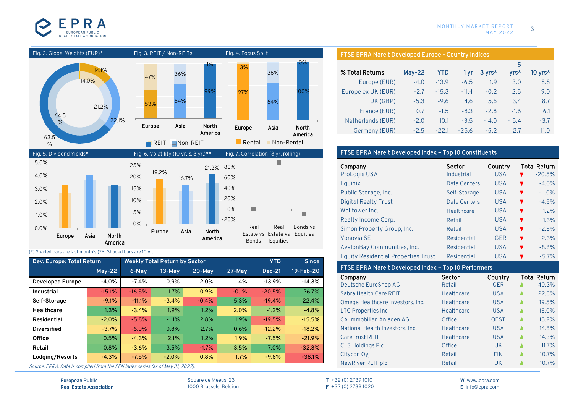







#### (\*) Shaded bars are last month's (\*\*) Shaded bars are 10 yr.

| Dev. Europe: Total Return |          |          | <b>Weekly Total Return by Sector</b> |         |         | <b>YTD</b>    | <b>Since</b> |
|---------------------------|----------|----------|--------------------------------------|---------|---------|---------------|--------------|
|                           | $May-22$ | 6-May    | $13-Mav$                             | 20-May  | 27-May  | <b>Dec-21</b> | 19-Feb-20    |
| <b>Developed Europe</b>   | $-4.0%$  | $-7.4%$  | 0.9%                                 | 2.0%    | 1.4%    | $-13.9%$      | $-14.3%$     |
| <b>Industrial</b>         | $-15.1%$ | $-16.5%$ | 1.7%                                 | 0.9%    | $-0.1%$ | $-20.5%$      | 26.7%        |
| Self-Storage              | $-9.1%$  | $-11.1%$ | $-3.4%$                              | $-0.4%$ | 5.3%    | $-19.4%$      | 22.4%        |
| <b>Healthcare</b>         | 1.3%     | $-3.4%$  | 1.9%                                 | 1.2%    | 2.0%    | $-1.2\%$      | $-4.8%$      |
| Residential               | $-2.0%$  | $-5.8%$  | $-1.1%$                              | 2.8%    | 1.9%    | $-19.5%$      | $-15.5%$     |
| <b>Diversified</b>        | $-3.7%$  | $-6.0%$  | 0.8%                                 | 2.7%    | 0.6%    | $-12.2%$      | $-18.2%$     |
| Office                    | 0.5%     | $-4.3%$  | 2.1%                                 | 1.2%    | 1.9%    | $-7.5%$       | $-21.9%$     |
| Retail                    | 0.8%     | $-3.6%$  | 3.5%                                 | $-1.7%$ | 3.5%    | 7.0%          | $-32.3%$     |
| Lodging/Resorts           | $-4.3%$  | $-7.5%$  | $-2.0%$                              | 0.8%    | 1.7%    | $-9.8%$       | $-38.1%$     |

Source: EPRA. Data is compiled from the FEN Index series (as of May 31, 2022).

European Public Real Estate Association Square de Meeus, 23 1000 Brussels, Belgium

#### FTSE EPRA Nareit Developed Europe - Country Indices

|                    |          |            |         |         | 5       |           |
|--------------------|----------|------------|---------|---------|---------|-----------|
| % Total Returns    | $May-22$ | <b>YTD</b> | 1 vr    | 3 yrs*  | $VTS*$  | 10 $Vrs*$ |
| Europe (EUR)       | $-4.0$   | $-13.9$    | $-6.5$  | 1.9     | 3.0     | 8.8       |
| Europe ex UK (EUR) | $-2.7$   | $-15.3$    | $-11.4$ | $-0.2$  | 2.5     | 9.0       |
| UK (GBP)           | $-5.3$   | $-9.6$     | 4.6     | 5.6     | 3.4     | 8.7       |
| France (EUR)       | 0.7      | $-1.5$     | $-8.3$  | $-2.8$  | $-1.6$  | 6.1       |
| Netherlands (EUR)  | $-2.0$   | 10.1       | $-3.5$  | $-14.0$ | $-15.4$ | $-3.7$    |
| Germany (EUR)      | $-2.5$   | $-22.1$    | $-25.6$ | $-5.2$  | 27      | 11.0      |

#### FTSE EPRA Nareit Developed Index – Top 10 Constituents

| Company                                    | Sector       | Country    | <b>Total Return</b>             |
|--------------------------------------------|--------------|------------|---------------------------------|
| <b>ProLogis USA</b>                        | Industrial   | <b>USA</b> | $-20.5%$                        |
| Equinix                                    | Data Centers | <b>USA</b> | $-4.0%$<br>v                    |
| Public Storage, Inc.                       | Self-Storage | <b>USA</b> | $-11.0%$                        |
| <b>Digital Realty Trust</b>                | Data Centers | <b>USA</b> | $-4.5%$<br>v                    |
| Welltower Inc.                             | Healthcare   | <b>USA</b> | $-1.2%$<br>v                    |
| Realty Income Corp.                        | Retail       | <b>USA</b> | $-1.3%$                         |
| Simon Property Group, Inc.                 | Retail       | <b>USA</b> | $-2.8%$<br>$\blacktriangledown$ |
| Vonovia SE                                 | Residential  | GER        | $-2.3%$<br>v                    |
| AvalonBay Communities, Inc.                | Residential  | <b>USA</b> | $-8.6%$<br>v                    |
| <b>Equity Residential Properties Trust</b> | Residential  | <b>USA</b> | $-5.7%$<br>v                    |

#### FTSE EPRA Nareit Developed Index – Top 10 Performers

| Company                          | Sector            | Country     |   | Total Return |
|----------------------------------|-------------------|-------------|---|--------------|
| Deutsche EuroShop AG             | Retail            | <b>GER</b>  |   | 40.3%        |
| Sabra Health Care REIT           | <b>Healthcare</b> | <b>USA</b>  | ▲ | 22.8%        |
| Omega Healthcare Investors, Inc. | <b>Healthcare</b> | <b>USA</b>  | Δ | 19.5%        |
| <b>LTC Properties Inc</b>        | <b>Healthcare</b> | <b>USA</b>  | ▲ | 18.0%        |
| CA Immobilien Anlagen AG         | Office            | <b>OEST</b> | ▲ | 15.2%        |
| National Health Investors, Inc.  | <b>Healthcare</b> | <b>USA</b>  |   | 14.8%        |
| CareTrust REIT                   | <b>Healthcare</b> | <b>USA</b>  | ▲ | 14.3%        |
| <b>CLS Holdings Plc</b>          | Office            | <b>UK</b>   |   | 11.7%        |
| Citycon Oyj                      | Retail            | <b>FIN</b>  | ▲ | 10.7%        |
| NewRiver REIT plc                | Retail            | UK          |   | 10.7%        |
|                                  |                   |             |   |              |

T +32 (0) 2739 1010 F +32 (0) 2739 1020 W www.epra.com E info@epra.com

3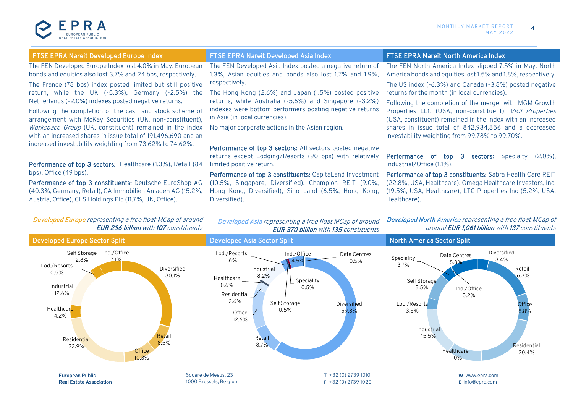

|  | TSE EPRA Nareit Developed Europe Index |  |
|--|----------------------------------------|--|
|  |                                        |  |

The FEN Developed Europe Index lost 4.0% in May. European bonds and equities also lost 3.7% and 24 bps, respectively.

The France (78 bps) index posted limited but still positive return, while the UK (-5.3%), Germany (-2.5%) the Netherlands (-2.0%) indexes posted negative returns.

Following the completion of the cash and stock scheme of arrangement with McKay Securities (UK, non-constituent), Workspace Group (UK, constituent) remained in the index with an increased shares in issue total of 191,496,690 and an increased investability weighting from 73.62% to 74.62%.

Performance of top 3 sectors: Healthcare (1.3%), Retail (84) bps), Office (49 bps).

Performance of top 3 constituents: Deutsche EuroShop AG (40.3%, Germany, Retail), CA Immobilien Anlagen AG (15.2%, Austria, Office), CLS Holdings Plc (11.7%, UK, Office).

The FEN Developed Asia Index posted a negative return of 1.3%, Asian equities and bonds also lost 1.7% and 1.9%, respectively.

The Hong Kong (2.6%) and Japan (1.5%) posted positive returns, while Australia (-5.6%) and Singapore (-3.2%) indexes were bottom performers posting negative returns in Asia (in local currencies).

No major corporate actions in the Asian region.

Performance of top 3 sectors: All sectors posted negative returns except Lodging/Resorts (90 bps) with relatively limited positive return.

Performance of top 3 constituents: CapitaLand Investment (10.5%, Singapore, Diversified), Champion REIT (9.0%, Hong Kong, Diversified), Sino Land (6.5%, Hong Kong, Diversified).

#### FTSE EPRA Nareit Developed Asia Index FTSE EPRA Nareit North America Index

The FEN North America Index slipped 7.5% in May. North America bonds and equities lost 1.5% and 1.8%, respectively.

The US index (-6.3%) and Canada (-3.8%) posted negative returns for the month (in local currencies).

Following the completion of the merger with MGM Growth Properties LLC (USA, non-constituent), VICI Properties (USA, constituent) remained in the index with an increased shares in issue total of 842,934,856 and a decreased investability weighting from 99.78% to 99.70%.

Performance of top 3 sectors: Specialty (2.0%), Industrial/Office (1.1%).

Performance of top 3 constituents: Sabra Health Care REIT (22.8%, USA, Healthcare), Omega Healthcare Investors, Inc. (19.5%, USA, Healthcare), LTC Properties Inc (5.2%, USA, Healthcare).

Developed Europe representing a free float MCap of around EUR 236 billion with 107 constituents

Developed Asia representing a free float MCap of around EUR 370 billion with 135 constituents Developed North America representing a free float MCap of around EUR 1,061 billion with 137 constituents

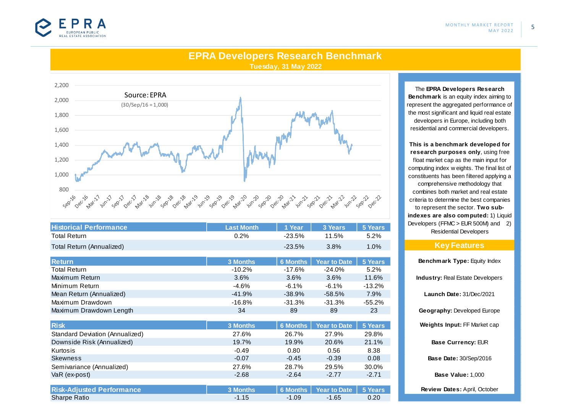

5

### **EPRA Developers Research Benchmark Tuesday, 31 May 2022**



| <b>Historical Performance</b> | <b>Last Month</b> | 1 Year          | 3 Years             | 5 Years   |
|-------------------------------|-------------------|-----------------|---------------------|-----------|
| <b>Total Return</b>           | 0.2%              | $-23.5%$        | 11.5%               | 5.2%      |
| Total Return (Annualized)     |                   | $-23.5\%$       | 3.8%                | 1.0%      |
|                               |                   |                 |                     |           |
| <b>Return</b>                 | 3 Months          | <b>6 Months</b> | <b>Year to Date</b> | 5 Years   |
| <b>Total Return</b>           | $-10.2\%$         | -17.6%          | $-24.0%$            | 5.2%      |
| Maximum Return                | 3.6%              | 3.6%            | 3.6%                | 11.6%     |
| Minimum Return                | $-4.6%$           | $-6.1\%$        | $-6.1\%$            | $-13.2\%$ |
| Mean Return (Annualized)      | $-41.9\%$         | $-38.9%$        | $-58.5%$            | 7.9%      |
| Maximum Drawdown              | $-16.8\%$         | $-31.3%$        | $-31.3%$            | $-55.2%$  |
| Maximum Drawdown Length       | 34                | 89              | 89                  | 23        |

| <b>Risk</b>                            | 3 Months | <b>6 Months</b> | <b>Year to Date</b> | 5 Years |
|----------------------------------------|----------|-----------------|---------------------|---------|
| <b>Standard Deviation (Annualized)</b> | 27.6%    | 26.7%           | 27.9%               | 29.8%   |
| Downside Risk (Annualized)             | 19.7%    | 19.9%           | 20.6%               | 21.1%   |
| Kurtosis                               | $-0.49$  | 0.80            | 0.56                | 8.38    |
| <b>Skewness</b>                        | $-0.07$  | $-0.45$         | $-0.39$             | 0.08    |
| Semivariance (Annualized)              | 27.6%    | 28.7%           | 29.5%               | 30.0%   |
| VaR (ex-post)                          | $-2.68$  | $-2.64$         | $-2.77$             | $-2.71$ |
|                                        |          |                 |                     |         |
| <b>Risk-Adjusted Performance</b>       | 3 Months | <b>6 Months</b> | <b>Year to Date</b> | 5 Years |
| <b>Sharpe Ratio</b>                    | $-1.15$  | $-1.09$         | $-1.65$             | 0.20    |

The **EPRA Developers Research Benchmark** is an equity index aiming to represent the aggregated performance of the most significant and liquid real estate developers in Europe, including both

residential and commercial developers.

**This is a benchmark developed for research purposes only**, using free float market cap as the main input for computing index w eights. The final list of constituents has been filtered applying a comprehensive methodology that combines both market and real estate criteria to determine the best companies to represent the sector. **Two subindexes are also computed:** 1) Liquid Developers (FFMC > EUR 500M) and 2) Residential Developers

#### **Key Features**

**Industry:** Real Estate Developers **Launch Date:** 31/Dec/2021 **Geography:** Developed Europe **Weights Input:** FF Market cap **Base Currency:** EUR **Review Dates:** April, October **Benchmark Type: Equity Index Base Date:** 30/Sep/2016 **Base Value:** 1,000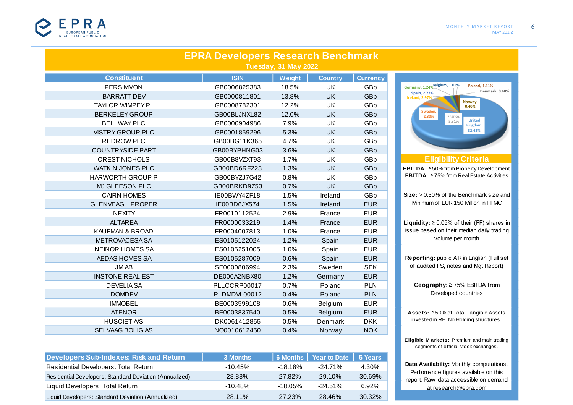

|                         | <b>EPRA Developers Research Benchmark</b> | Tuesday, 31 May 2022 |                |                 |                                                          |
|-------------------------|-------------------------------------------|----------------------|----------------|-----------------|----------------------------------------------------------|
| <b>Constituent</b>      | <b>ISIN</b>                               | Weight               | <b>Country</b> | <b>Currency</b> |                                                          |
| <b>PERSIMMON</b>        | GB0006825383                              | 18.5%                | UK             | GBp             | Germany, 1.24% Belgium, 1.05%<br>Poland, 1.11%<br>Denmar |
| <b>BARRATT DEV</b>      | GB0000811801                              | 13.8%                | <b>UK</b>      | GBp             | <b>Spain, 2.72%</b><br><b>Ireland, 2.97%</b>             |
| <b>TAYLOR WIMPEY PL</b> | GB0008782301                              | 12.2%                | UK             | GBp             | Norway,<br>0.40%                                         |
| <b>BERKELEY GROUP</b>   | GB00BLJNXL82                              | 12.0%                | <b>UK</b>      | GBp             | Sweden,<br>2.30%<br>France,                              |
| <b>BELLWAY PLC</b>      | GB0000904986                              | 7.9%                 | UK             | GBp             | <b>United</b><br>5.31%<br>Kingdom,                       |
| <b>VISTRY GROUP PLC</b> | GB0001859296                              | 5.3%                 | <b>UK</b>      | GBp             | 82.43%                                                   |
| <b>REDROW PLC</b>       | GB00BG11K365                              | 4.7%                 | UK             | GBp             |                                                          |
| <b>COUNTRYSIDE PART</b> | GB00BYPHNG03                              | 3.6%                 | <b>UK</b>      | GBp             |                                                          |
| <b>CREST NICHOLS</b>    | GB00B8VZXT93                              | 1.7%                 | UK             | GBp             | <b>Eligibility Criteria</b>                              |
| <b>WATKIN JONES PLC</b> | GB00BD6RF223                              | 1.3%                 | <b>UK</b>      | GBp             | <b>EBITDA: ≥50% from Property Develo</b>                 |
| <b>HARWORTH GROUP P</b> | GB00BYZJ7G42                              | 0.8%                 | UK             | GBp             | <b>EBITDA: ≥75% from Real Estate Act</b>                 |
| MJ GLEESON PLC          | GB00BRKD9Z53                              | 0.7%                 | <b>UK</b>      | GBp             |                                                          |
| <b>CAIRN HOMES</b>      | IE00BWY4ZF18                              | 1.5%                 | Ireland        | GBp             | Size: > 0.30% of the Benchmark siz                       |
| <b>GLENVEAGH PROPER</b> | IE00BD6JX574                              | 1.5%                 | Ireland        | <b>EUR</b>      | Minimum of EUR 150 Million in FFI                        |
| <b>NEXITY</b>           | FR0010112524                              | 2.9%                 | France         | <b>EUR</b>      |                                                          |
| <b>ALTAREA</b>          | FR0000033219                              | 1.4%                 | France         | <b>EUR</b>      | <b>Liquidity:</b> $\geq 0.05\%$ of their (FF) sha        |
| KAUFMAN & BROAD         | FR0004007813                              | 1.0%                 | France         | <b>EUR</b>      | issue based on their median daily tr                     |
| METROVACESA SA          | ES0105122024                              | 1.2%                 | Spain          | <b>EUR</b>      | volume per month                                         |
| <b>NEINOR HOMES SA</b>  | ES0105251005                              | 1.0%                 | Spain          | <b>EUR</b>      |                                                          |
| AEDAS HOMES SA          | ES0105287009                              | 0.6%                 | Spain          | <b>EUR</b>      | Reporting: public AR in English (Fi                      |
| <b>JMAB</b>             | SE0000806994                              | 2.3%                 | Sweden         | <b>SEK</b>      | of audited FS, notes and Mgt Rep                         |
| <b>INSTONE REAL EST</b> | DE000A2NBX80                              | 1.2%                 | Germany        | <b>EUR</b>      |                                                          |
| <b>DEVELIASA</b>        | PLLCCRP00017                              | 0.7%                 | Poland         | <b>PLN</b>      | Geography: ≥ 75% EBITDA fro                              |
| <b>DOMDEV</b>           | PLDMDVL00012                              | 0.4%                 | Poland         | <b>PLN</b>      | Developed countries                                      |
| <b>IMMOBEL</b>          | BE0003599108                              | 0.6%                 | Belgium        | <b>EUR</b>      |                                                          |
| <b>ATENOR</b>           | BE0003837540                              | 0.5%                 | Belgium        | <b>EUR</b>      | Assets: ≥50% of Total Tangible As                        |
| <b>HUSCIET A/S</b>      | DK0061412855                              | 0.5%                 | Denmark        | <b>DKK</b>      | invested in RE. No Holding structur                      |
| <b>SELVAAG BOLIG AS</b> | NO0010612450                              | 0.4%                 | Norway         | <b>NOK</b>      |                                                          |

| <b>Developers Sub-Indexes: Risk and Return</b>          | 3 Months   |            | 6 Months   Year to Date   5 Years |        |
|---------------------------------------------------------|------------|------------|-----------------------------------|--------|
| <b>Residential Developers: Total Return</b>             | $-10.45\%$ | -18.18%    | $-24.71\%$                        | 4.30%  |
| Residential Developers: Standard Deviation (Annualized) | 28.88%     | 27.82%     | 29.10%                            | 30.69% |
| Liquid Developers: Total Return                         | $-10.48\%$ | $-18.05\%$ | $-24.51\%$                        | 6.92%  |
| Liquid Developers: Standard Deviation (Annualized)      | 28.11%     | 27.23%     | 28.46%                            | 30.32% |



**Asse ts:** ≥ 50% of Total Tangible Assets invested in RE. No Holding structures.

**Eligible M arkets:** Premium and main trading segments of official stock exchanges.

**Data Availabilty:** Monthly computations. Perfomance figures available on this report. Raw data accessible on demand at research@epra.com

6